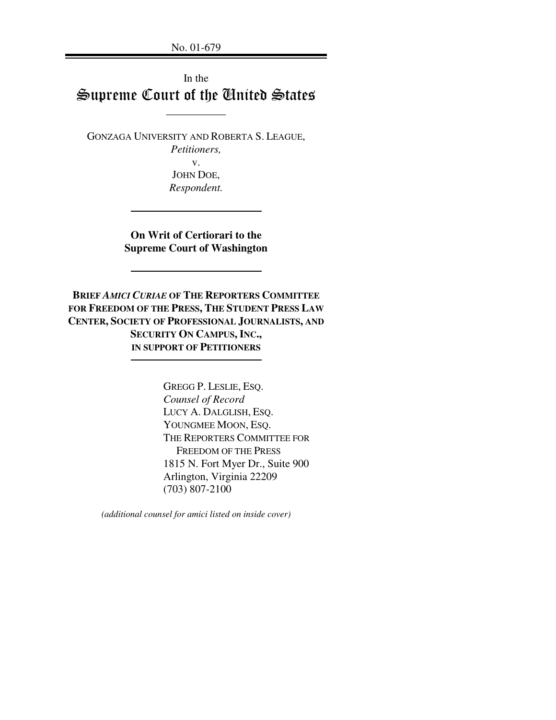No. 01-679

# In the Supreme Court of the United States

\_\_\_\_\_\_\_\_\_\_\_

GONZAGA UNIVERSITY AND ROBERTA S. LEAGUE,

*Petitioners,* v.

JOHN DOE, *Respondent.*

**On Writ of Certiorari to the Supreme Court of Washington**

**BRIEF** *AMICI CURIAE* **OF THE REPORTERS COMMITTEE FOR FREEDOM OF THE PRESS, THE STUDENT PRESS LAW CENTER, SOCIETY OF PROFESSIONAL JOURNALISTS, AND SECURITY ON CAMPUS, INC., IN SUPPORT OF PETITIONERS**

> GREGG P. LESLIE, ESQ. *Counsel of Record* LUCY A. DALGLISH, ESQ. YOUNGMEE MOON, ESQ. THE REPORTERS COMMITTEE FOR FREEDOM OF THE PRESS 1815 N. Fort Myer Dr., Suite 900 Arlington, Virginia 22209 (703) 807-2100

*(additional counsel for amici listed on inside cover)*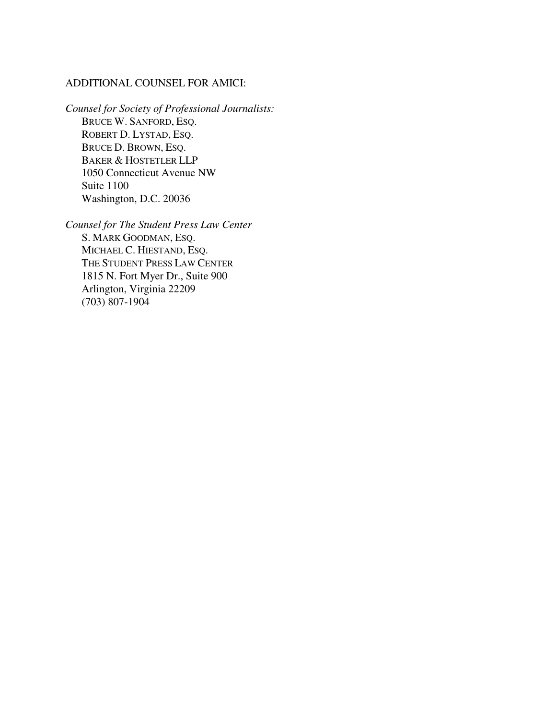## ADDITIONAL COUNSEL FOR AMICI:

*Counsel for Society of Professional Journalists:* BRUCE W. SANFORD, ESQ. ROBERT D. LYSTAD, ESQ. BRUCE D. BROWN, ESQ. BAKER & HOSTETLER LLP 1050 Connecticut Avenue NW Suite 1100 Washington, D.C. 20036

*Counsel for The Student Press Law Center* S. MARK GOODMAN, ESQ. MICHAEL C. HIESTAND, ESQ. THE STUDENT PRESS LAW CENTER 1815 N. Fort Myer Dr., Suite 900 Arlington, Virginia 22209 (703) 807-1904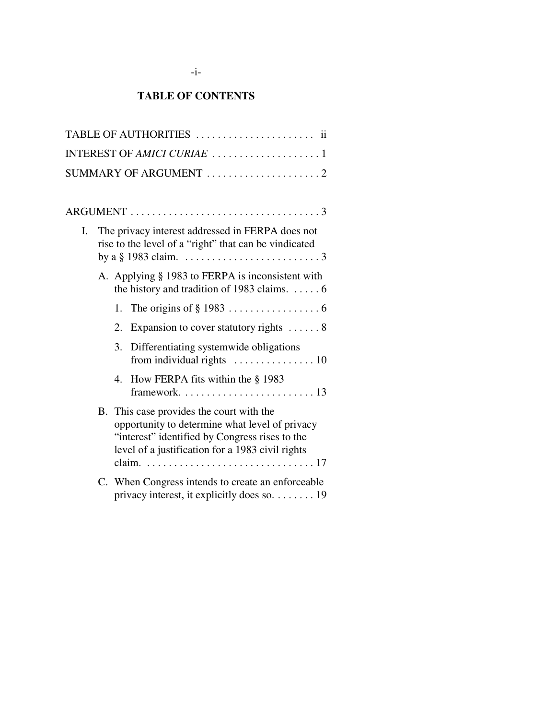# **TABLE OF CONTENTS**

|    | TABLE OF AUTHORITIES  ii                                                                                                                                                                         |
|----|--------------------------------------------------------------------------------------------------------------------------------------------------------------------------------------------------|
|    |                                                                                                                                                                                                  |
|    | SUMMARY OF ARGUMENT 2                                                                                                                                                                            |
|    |                                                                                                                                                                                                  |
|    |                                                                                                                                                                                                  |
| I. | The privacy interest addressed in FERPA does not<br>rise to the level of a "right" that can be vindicated                                                                                        |
|    | A. Applying § 1983 to FERPA is inconsistent with<br>the history and tradition of 1983 claims. $\dots$ . 6                                                                                        |
|    | 1.                                                                                                                                                                                               |
|    | Expansion to cover statutory rights 8<br>2.                                                                                                                                                      |
|    | Differentiating systemwide obligations<br>3.                                                                                                                                                     |
|    | 4. How FERPA fits within the § 1983                                                                                                                                                              |
|    | B. This case provides the court with the<br>opportunity to determine what level of privacy<br>"interest" identified by Congress rises to the<br>level of a justification for a 1983 civil rights |
|    | C. When Congress intends to create an enforceable<br>privacy interest, it explicitly does so. 19                                                                                                 |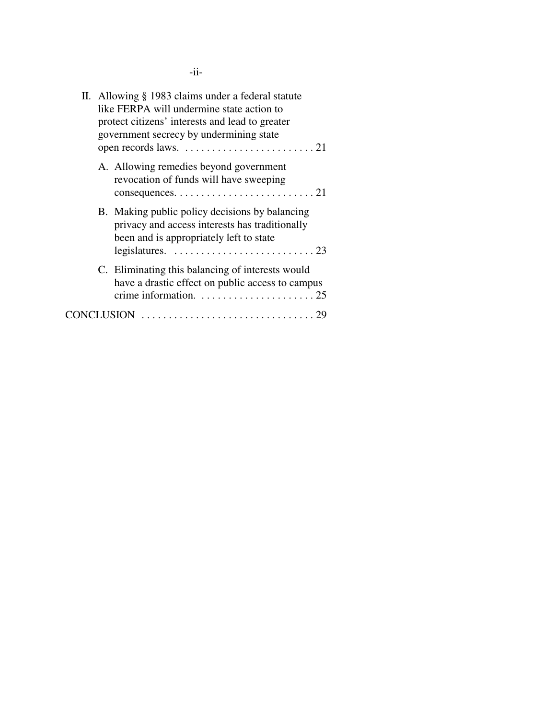|  | II. Allowing § 1983 claims under a federal statute<br>like FERPA will undermine state action to<br>protect citizens' interests and lead to greater<br>government secrecy by undermining state                             |
|--|---------------------------------------------------------------------------------------------------------------------------------------------------------------------------------------------------------------------------|
|  | A. Allowing remedies beyond government<br>revocation of funds will have sweeping                                                                                                                                          |
|  | B. Making public policy decisions by balancing<br>privacy and access interests has traditionally<br>been and is appropriately left to state<br>legislatures. $\ldots \ldots \ldots \ldots \ldots \ldots \ldots \ldots 23$ |
|  | C. Eliminating this balancing of interests would<br>have a drastic effect on public access to campus<br>crime information. $\dots \dots \dots \dots \dots \dots \dots 25$                                                 |
|  |                                                                                                                                                                                                                           |

-ii-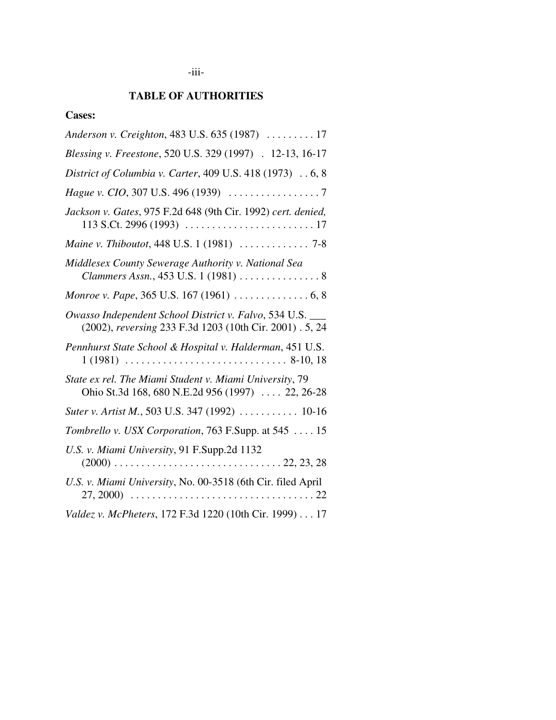# **TABLE OF AUTHORITIES**

# **Cases:**

| Anderson v. Creighton, 483 U.S. 635 (1987)  17                                                                        |
|-----------------------------------------------------------------------------------------------------------------------|
| Blessing v. Freestone, 520 U.S. 329 (1997) . 12-13, 16-17                                                             |
| District of Columbia v. Carter, 409 U.S. 418 (1973) 6, 8                                                              |
|                                                                                                                       |
| Jackson v. Gates, 975 F.2d 648 (9th Cir. 1992) cert. denied,                                                          |
|                                                                                                                       |
| Middlesex County Sewerage Authority v. National Sea<br>Clammers Assn., 453 U.S. 1 (1981)  8                           |
|                                                                                                                       |
| Owasso Independent School District v. Falvo, 534 U.S. ___<br>(2002), reversing 233 F.3d 1203 (10th Cir. 2001) . 5, 24 |
| Pennhurst State School & Hospital v. Halderman, 451 U.S.                                                              |
| State ex rel. The Miami Student v. Miami University, 79<br>Ohio St.3d 168, 680 N.E.2d 956 (1997)  22, 26-28           |
| Suter v. Artist M., 503 U.S. 347 (1992)  10-16                                                                        |
| Tombrello v. USX Corporation, 763 F.Supp. at 545  15                                                                  |
| U.S. v. Miami University, 91 F.Supp.2d 1132                                                                           |
| U.S. v. Miami University, No. 00-3518 (6th Cir. filed April                                                           |
| Valdez v. McPheters, 172 F.3d 1220 (10th Cir. 1999) 17                                                                |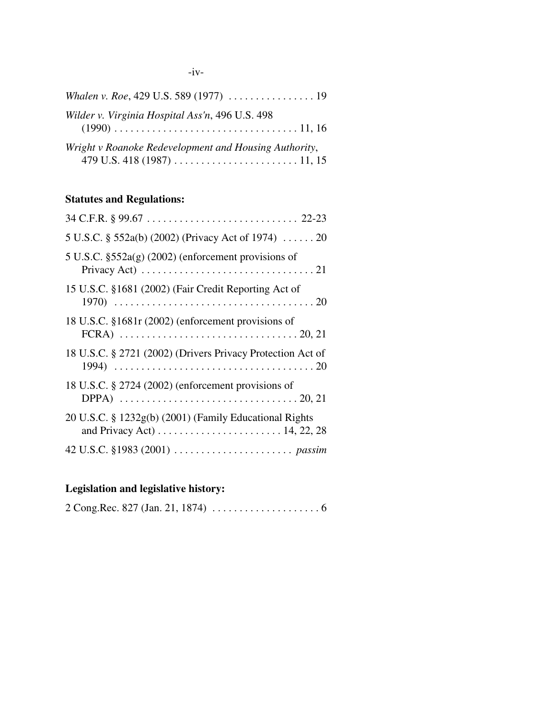| Wilder v. Virginia Hospital Ass'n, 496 U.S. 498       |
|-------------------------------------------------------|
| Wright v Roanoke Redevelopment and Housing Authority, |

# **Statutes and Regulations:**

| 5 U.S.C. § 552a(b) (2002) (Privacy Act of 1974)  20                                                                                                          |
|--------------------------------------------------------------------------------------------------------------------------------------------------------------|
| $5 \text{ U.S.C. }$ \$552a(g) (2002) (enforcement provisions of<br>Privacy Act) $\dots \dots \dots \dots \dots \dots \dots \dots \dots \dots \dots \dots 21$ |
| 15 U.S.C. §1681 (2002) (Fair Credit Reporting Act of                                                                                                         |
| 18 U.S.C. §1681r (2002) (enforcement provisions of<br>FCRA) $\ldots \ldots \ldots \ldots \ldots \ldots \ldots \ldots \ldots \ldots \ldots \ldots 20, 21$     |
| 18 U.S.C. § 2721 (2002) (Drivers Privacy Protection Act of                                                                                                   |
| 18 U.S.C. § 2724 (2002) (enforcement provisions of<br>DPPA) $\ldots \ldots \ldots \ldots \ldots \ldots \ldots \ldots \ldots \ldots \ldots \ldots 20, 21$     |
| 20 U.S.C. § 1232g(b) (2001) (Family Educational Rights                                                                                                       |
|                                                                                                                                                              |

# **Legislation and legislative history:**

|--|--|--|--|--|--|--|--|--|--|--|--|--|--|--|--|--|--|--|--|--|--|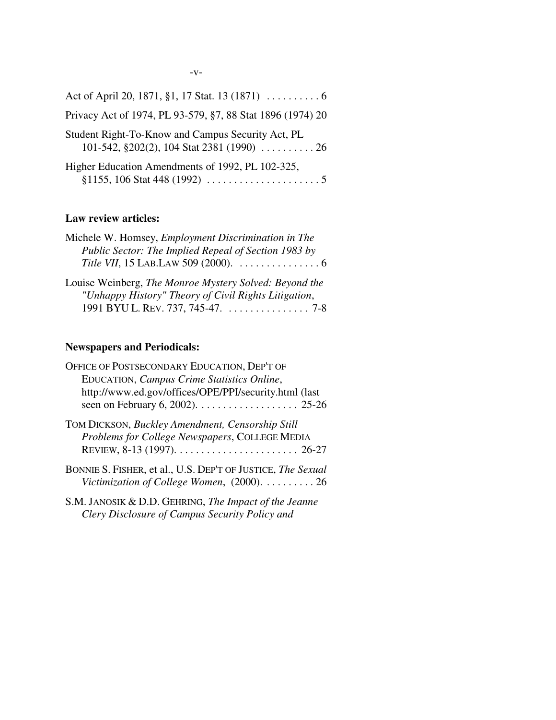| Privacy Act of 1974, PL 93-579, §7, 88 Stat 1896 (1974) 20                                           |
|------------------------------------------------------------------------------------------------------|
| Student Right-To-Know and Campus Security Act, PL<br>101-542, $\S 202(2)$ , 104 Stat 2381 (1990)  26 |
| Higher Education Amendments of 1992, PL 102-325,                                                     |

# **Law review articles:**

| Michele W. Homsey, Employment Discrimination in The    |
|--------------------------------------------------------|
| Public Sector: The Implied Repeal of Section 1983 by   |
|                                                        |
| Louise Weinberg, The Monroe Mystery Solved: Beyond the |
| "Unhappy History" Theory of Civil Rights Litigation,   |

1991 BYU L. REV. 737, 745-47. . . . . . . . . . . . . . . . 7-8

# **Newspapers and Periodicals:**

| OFFICE OF POSTSECONDARY EDUCATION, DEP'T OF                 |
|-------------------------------------------------------------|
| EDUCATION, Campus Crime Statistics Online,                  |
| http://www.ed.gov/offices/OPE/PPI/security.html (last       |
|                                                             |
| TOM DICKSON, Buckley Amendment, Censorship Still            |
| Problems for College Newspapers, COLLEGE MEDIA              |
|                                                             |
| BONNIE S. FISHER, et al., U.S. DEP'T OF JUSTICE, The Sexual |
| Victimization of College Women, $(2000)$ .  26              |
| S.M. JANOSIK & D.D. GEHRING, The Impact of the Jeanne       |
| Clery Disclosure of Campus Security Policy and              |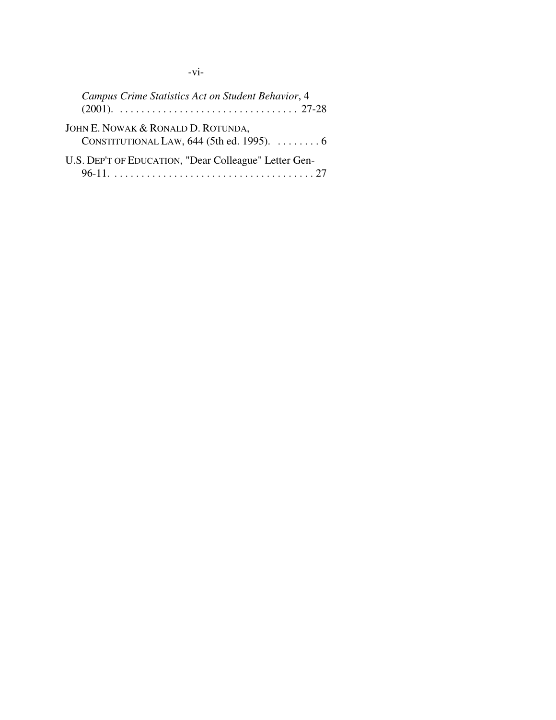-vi-

| Campus Crime Statistics Act on Student Behavior, 4                                                  |
|-----------------------------------------------------------------------------------------------------|
| JOHN E. NOWAK & RONALD D. ROTUNDA,<br>CONSTITUTIONAL LAW, $644$ (5th ed. 1995). $\dots \dots \dots$ |
| U.S. DEP'T OF EDUCATION, "Dear Colleague" Letter Gen-                                               |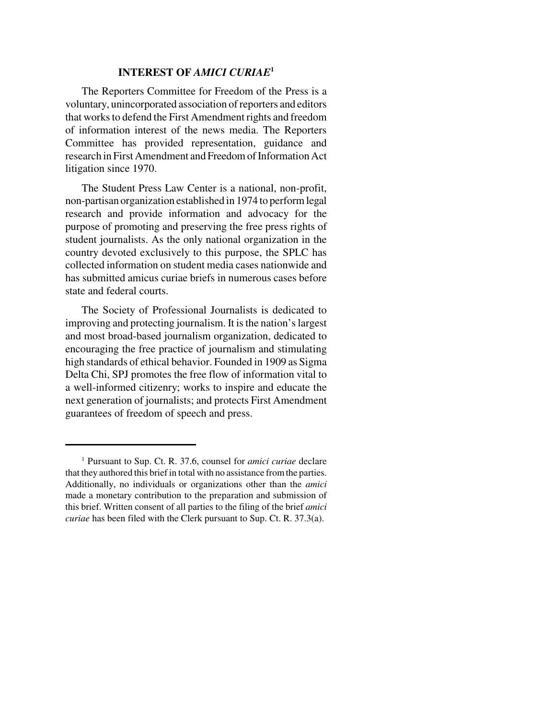#### **INTEREST OF** *AMICI CURIAE***<sup>1</sup>**

The Reporters Committee for Freedom of the Press is a voluntary, unincorporated association of reporters and editors that works to defend the First Amendment rights and freedom of information interest of the news media. The Reporters Committee has provided representation, guidance and research in First Amendment and Freedom of Information Act litigation since 1970.

The Student Press Law Center is a national, non-profit, non-partisan organization established in 1974 to perform legal research and provide information and advocacy for the purpose of promoting and preserving the free press rights of student journalists. As the only national organization in the country devoted exclusively to this purpose, the SPLC has collected information on student media cases nationwide and has submitted amicus curiae briefs in numerous cases before state and federal courts.

The Society of Professional Journalists is dedicated to improving and protecting journalism. It is the nation's largest and most broad-based journalism organization, dedicated to encouraging the free practice of journalism and stimulating high standards of ethical behavior. Founded in 1909 as Sigma Delta Chi, SPJ promotes the free flow of information vital to a well-informed citizenry; works to inspire and educate the next generation of journalists; and protects First Amendment guarantees of freedom of speech and press.

<sup>1</sup> Pursuant to Sup. Ct. R. 37.6, counsel for *amici curiae* declare that they authored this brief in total with no assistance from the parties. Additionally, no individuals or organizations other than the *amici* made a monetary contribution to the preparation and submission of this brief. Written consent of all parties to the filing of the brief *amici curiae* has been filed with the Clerk pursuant to Sup. Ct. R. 37.3(a).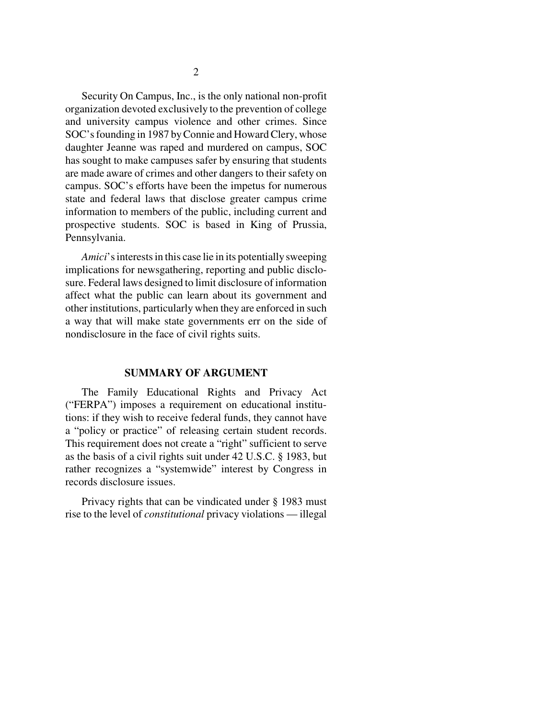Security On Campus, Inc., is the only national non-profit organization devoted exclusively to the prevention of college and university campus violence and other crimes. Since SOC's founding in 1987 by Connie and Howard Clery, whose daughter Jeanne was raped and murdered on campus, SOC has sought to make campuses safer by ensuring that students are made aware of crimes and other dangers to their safety on campus. SOC's efforts have been the impetus for numerous state and federal laws that disclose greater campus crime information to members of the public, including current and prospective students. SOC is based in King of Prussia, Pennsylvania.

*Amici*'s interests in this case lie in its potentially sweeping implications for newsgathering, reporting and public disclosure. Federal laws designed to limit disclosure of information affect what the public can learn about its government and other institutions, particularly when they are enforced in such a way that will make state governments err on the side of nondisclosure in the face of civil rights suits.

#### **SUMMARY OF ARGUMENT**

The Family Educational Rights and Privacy Act ("FERPA") imposes a requirement on educational institutions: if they wish to receive federal funds, they cannot have a "policy or practice" of releasing certain student records. This requirement does not create a "right" sufficient to serve as the basis of a civil rights suit under 42 U.S.C. § 1983, but rather recognizes a "systemwide" interest by Congress in records disclosure issues.

Privacy rights that can be vindicated under § 1983 must rise to the level of *constitutional* privacy violations — illegal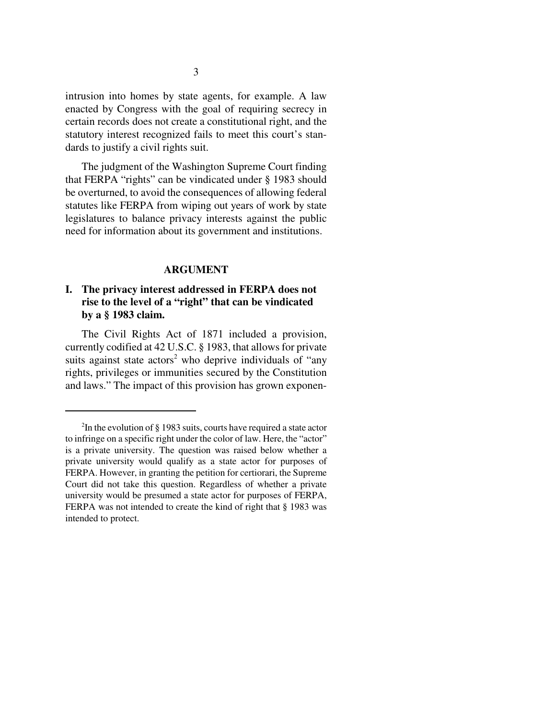intrusion into homes by state agents, for example. A law enacted by Congress with the goal of requiring secrecy in certain records does not create a constitutional right, and the statutory interest recognized fails to meet this court's standards to justify a civil rights suit.

The judgment of the Washington Supreme Court finding that FERPA "rights" can be vindicated under § 1983 should be overturned, to avoid the consequences of allowing federal statutes like FERPA from wiping out years of work by state legislatures to balance privacy interests against the public need for information about its government and institutions.

#### **ARGUMENT**

## **I. The privacy interest addressed in FERPA does not rise to the level of a "right" that can be vindicated by a § 1983 claim.**

The Civil Rights Act of 1871 included a provision, currently codified at 42 U.S.C. § 1983, that allows for private suits against state actors<sup>2</sup> who deprive individuals of "any rights, privileges or immunities secured by the Constitution and laws." The impact of this provision has grown exponen-

<sup>2</sup> In the evolution of § 1983 suits, courts have required a state actor to infringe on a specific right under the color of law. Here, the "actor" is a private university. The question was raised below whether a private university would qualify as a state actor for purposes of FERPA. However, in granting the petition for certiorari, the Supreme Court did not take this question. Regardless of whether a private university would be presumed a state actor for purposes of FERPA, FERPA was not intended to create the kind of right that § 1983 was intended to protect.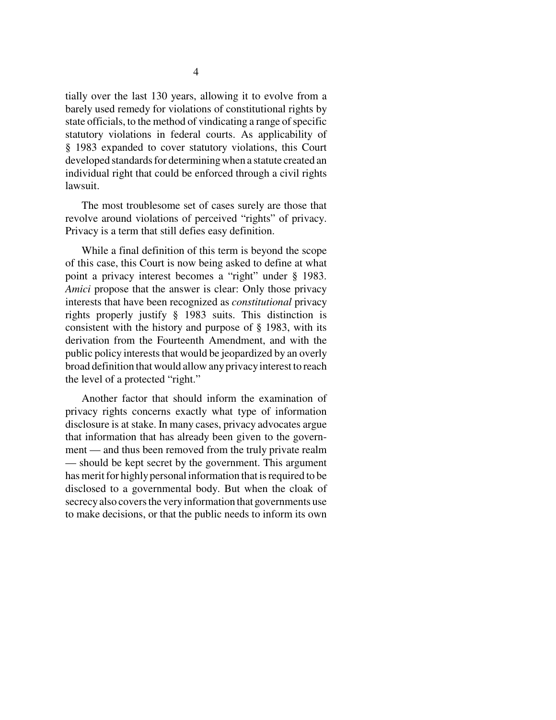tially over the last 130 years, allowing it to evolve from a barely used remedy for violations of constitutional rights by state officials, to the method of vindicating a range of specific statutory violations in federal courts. As applicability of § 1983 expanded to cover statutory violations, this Court developed standards for determining when a statute created an individual right that could be enforced through a civil rights lawsuit.

The most troublesome set of cases surely are those that revolve around violations of perceived "rights" of privacy. Privacy is a term that still defies easy definition.

While a final definition of this term is beyond the scope of this case, this Court is now being asked to define at what point a privacy interest becomes a "right" under § 1983. *Amici* propose that the answer is clear: Only those privacy interests that have been recognized as *constitutional* privacy rights properly justify § 1983 suits. This distinction is consistent with the history and purpose of § 1983, with its derivation from the Fourteenth Amendment, and with the public policy interests that would be jeopardized by an overly broad definition that would allow any privacy interest to reach the level of a protected "right."

Another factor that should inform the examination of privacy rights concerns exactly what type of information disclosure is at stake. In many cases, privacy advocates argue that information that has already been given to the government — and thus been removed from the truly private realm — should be kept secret by the government. This argument has merit for highly personal information that is required to be disclosed to a governmental body. But when the cloak of secrecy also covers the very information that governments use to make decisions, or that the public needs to inform its own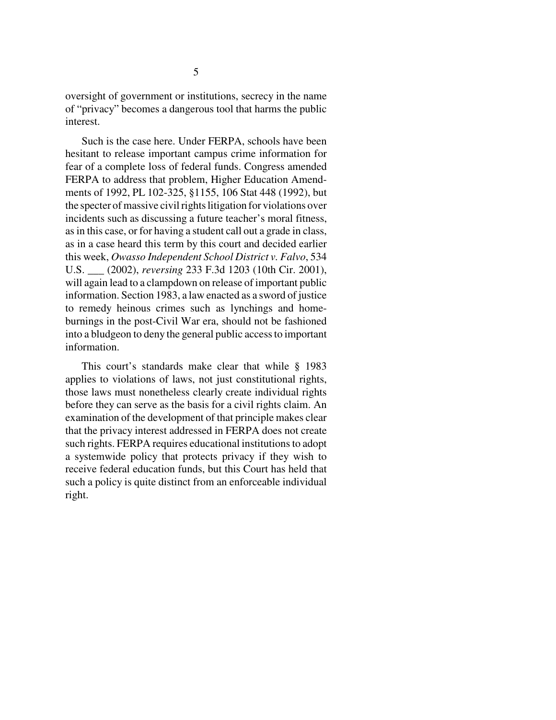oversight of government or institutions, secrecy in the name of "privacy" becomes a dangerous tool that harms the public interest.

Such is the case here. Under FERPA, schools have been hesitant to release important campus crime information for fear of a complete loss of federal funds. Congress amended FERPA to address that problem, Higher Education Amendments of 1992, PL 102-325, §1155, 106 Stat 448 (1992), but the specter of massive civil rights litigation for violations over incidents such as discussing a future teacher's moral fitness, as in this case, or for having a student call out a grade in class, as in a case heard this term by this court and decided earlier this week, *Owasso Independent School District v. Falvo*, 534 U.S. \_\_\_ (2002), *reversing* 233 F.3d 1203 (10th Cir. 2001), will again lead to a clampdown on release of important public information. Section 1983, a law enacted as a sword of justice to remedy heinous crimes such as lynchings and homeburnings in the post-Civil War era, should not be fashioned into a bludgeon to deny the general public access to important information.

This court's standards make clear that while § 1983 applies to violations of laws, not just constitutional rights, those laws must nonetheless clearly create individual rights before they can serve as the basis for a civil rights claim. An examination of the development of that principle makes clear that the privacy interest addressed in FERPA does not create such rights. FERPA requires educational institutions to adopt a systemwide policy that protects privacy if they wish to receive federal education funds, but this Court has held that such a policy is quite distinct from an enforceable individual right.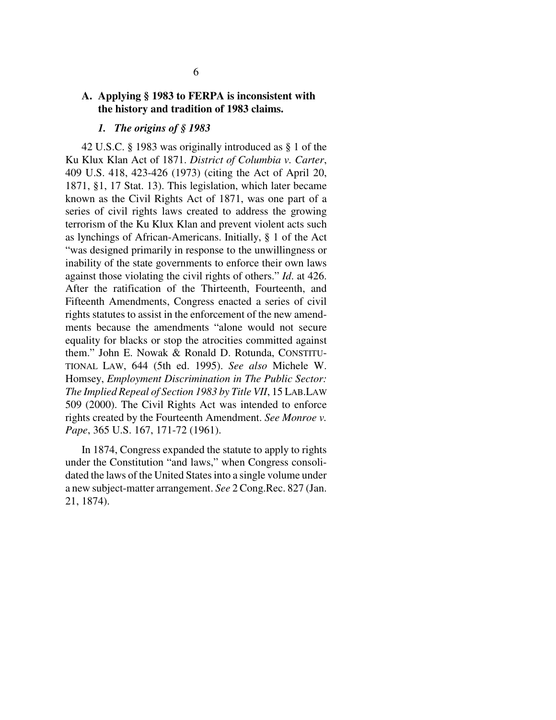### **A. Applying § 1983 to FERPA is inconsistent with the history and tradition of 1983 claims.**

#### *1. The origins of § 1983*

42 U.S.C. § 1983 was originally introduced as § 1 of the Ku Klux Klan Act of 1871. *District of Columbia v. Carter*, 409 U.S. 418, 423-426 (1973) (citing the Act of April 20, 1871, §1, 17 Stat. 13). This legislation, which later became known as the Civil Rights Act of 1871, was one part of a series of civil rights laws created to address the growing terrorism of the Ku Klux Klan and prevent violent acts such as lynchings of African-Americans. Initially, § 1 of the Act "was designed primarily in response to the unwillingness or inability of the state governments to enforce their own laws against those violating the civil rights of others." *Id*. at 426. After the ratification of the Thirteenth, Fourteenth, and Fifteenth Amendments, Congress enacted a series of civil rights statutes to assist in the enforcement of the new amendments because the amendments "alone would not secure equality for blacks or stop the atrocities committed against them." John E. Nowak & Ronald D. Rotunda, CONSTITU-TIONAL LAW, 644 (5th ed. 1995). *See also* Michele W. Homsey, *Employment Discrimination in The Public Sector: The Implied Repeal of Section 1983 by Title VII*, 15 LAB.LAW 509 (2000). The Civil Rights Act was intended to enforce rights created by the Fourteenth Amendment. *See Monroe v. Pape*, 365 U.S. 167, 171-72 (1961).

In 1874, Congress expanded the statute to apply to rights under the Constitution "and laws," when Congress consolidated the laws of the United States into a single volume under a new subject-matter arrangement. *See* 2 Cong.Rec. 827 (Jan. 21, 1874).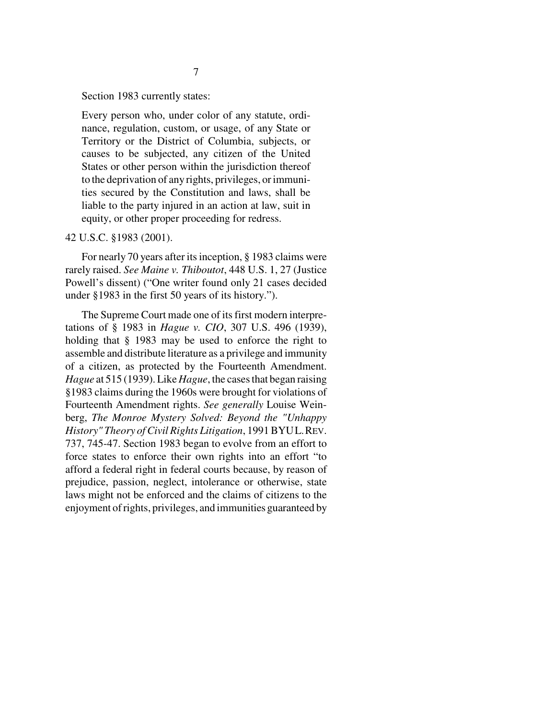Section 1983 currently states:

Every person who, under color of any statute, ordinance, regulation, custom, or usage, of any State or Territory or the District of Columbia, subjects, or causes to be subjected, any citizen of the United States or other person within the jurisdiction thereof to the deprivation of any rights, privileges, or immunities secured by the Constitution and laws, shall be liable to the party injured in an action at law, suit in equity, or other proper proceeding for redress.

#### 42 U.S.C. §1983 (2001).

For nearly 70 years after its inception, § 1983 claims were rarely raised. *See Maine v. Thiboutot*, 448 U.S. 1, 27 (Justice Powell's dissent) ("One writer found only 21 cases decided under §1983 in the first 50 years of its history.").

The Supreme Court made one of its first modern interpretations of § 1983 in *Hague v. CIO*, 307 U.S. 496 (1939), holding that § 1983 may be used to enforce the right to assemble and distribute literature as a privilege and immunity of a citizen, as protected by the Fourteenth Amendment. *Hague* at 515 (1939). Like *Hague*, the cases that began raising §1983 claims during the 1960s were brought for violations of Fourteenth Amendment rights. *See generally* Louise Weinberg, *The Monroe Mystery Solved: Beyond the "Unhappy History" Theory of Civil Rights Litigation*, 1991 BYUL.REV. 737, 745-47. Section 1983 began to evolve from an effort to force states to enforce their own rights into an effort "to afford a federal right in federal courts because, by reason of prejudice, passion, neglect, intolerance or otherwise, state laws might not be enforced and the claims of citizens to the enjoyment of rights, privileges, and immunities guaranteed by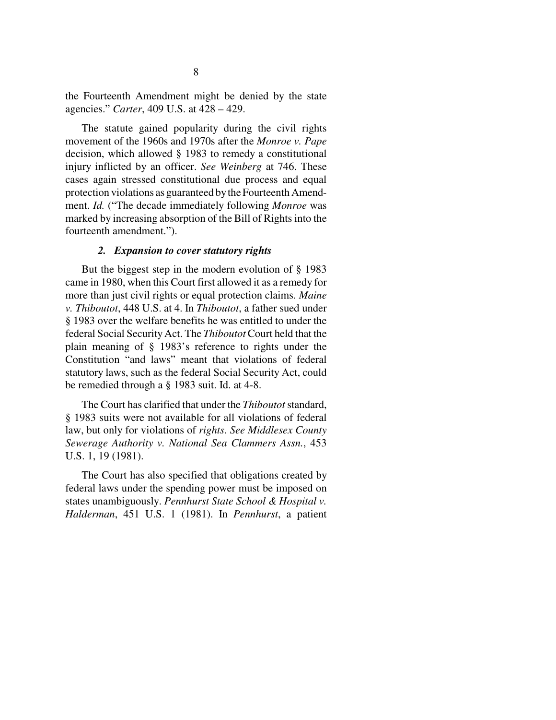the Fourteenth Amendment might be denied by the state agencies." *Carter*, 409 U.S. at 428 – 429.

The statute gained popularity during the civil rights movement of the 1960s and 1970s after the *Monroe v. Pape* decision, which allowed § 1983 to remedy a constitutional injury inflicted by an officer. *See Weinberg* at 746. These cases again stressed constitutional due process and equal protection violations as guaranteed by the Fourteenth Amendment. *Id.* ("The decade immediately following *Monroe* was marked by increasing absorption of the Bill of Rights into the fourteenth amendment.").

#### *2. Expansion to cover statutory rights*

But the biggest step in the modern evolution of § 1983 came in 1980, when this Court first allowed it as a remedy for more than just civil rights or equal protection claims. *Maine v. Thiboutot*, 448 U.S. at 4. In *Thiboutot*, a father sued under § 1983 over the welfare benefits he was entitled to under the federal Social Security Act. The *Thiboutot* Court held that the plain meaning of § 1983's reference to rights under the Constitution "and laws" meant that violations of federal statutory laws, such as the federal Social Security Act, could be remedied through a § 1983 suit. Id. at 4-8.

The Court has clarified that under the *Thiboutot* standard, § 1983 suits were not available for all violations of federal law, but only for violations of *rights*. *See Middlesex County Sewerage Authority v. National Sea Clammers Assn.*, 453 U.S. 1, 19 (1981).

The Court has also specified that obligations created by federal laws under the spending power must be imposed on states unambiguously. *Pennhurst State School & Hospital v. Halderman*, 451 U.S. 1 (1981). In *Pennhurst*, a patient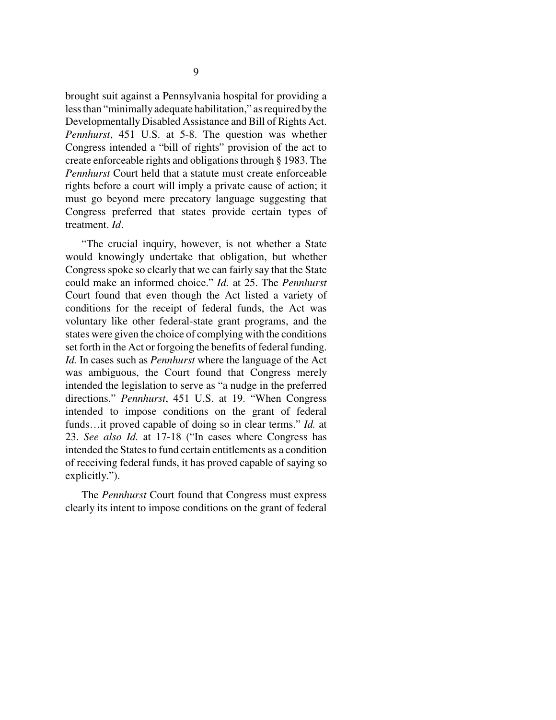brought suit against a Pennsylvania hospital for providing a less than "minimally adequate habilitation," as required by the Developmentally Disabled Assistance and Bill of Rights Act. *Pennhurst*, 451 U.S. at 5-8. The question was whether Congress intended a "bill of rights" provision of the act to create enforceable rights and obligations through § 1983. The *Pennhurst* Court held that a statute must create enforceable rights before a court will imply a private cause of action; it must go beyond mere precatory language suggesting that Congress preferred that states provide certain types of treatment. *Id*.

"The crucial inquiry, however, is not whether a State would knowingly undertake that obligation, but whether Congress spoke so clearly that we can fairly say that the State could make an informed choice." *Id.* at 25. The *Pennhurst* Court found that even though the Act listed a variety of conditions for the receipt of federal funds, the Act was voluntary like other federal-state grant programs, and the states were given the choice of complying with the conditions set forth in the Act or forgoing the benefits of federal funding. *Id.* In cases such as *Pennhurst* where the language of the Act was ambiguous, the Court found that Congress merely intended the legislation to serve as "a nudge in the preferred directions." *Pennhurst*, 451 U.S. at 19. "When Congress intended to impose conditions on the grant of federal funds…it proved capable of doing so in clear terms." *Id.* at 23. *See also Id.* at 17-18 ("In cases where Congress has intended the States to fund certain entitlements as a condition of receiving federal funds, it has proved capable of saying so explicitly.").

The *Pennhurst* Court found that Congress must express clearly its intent to impose conditions on the grant of federal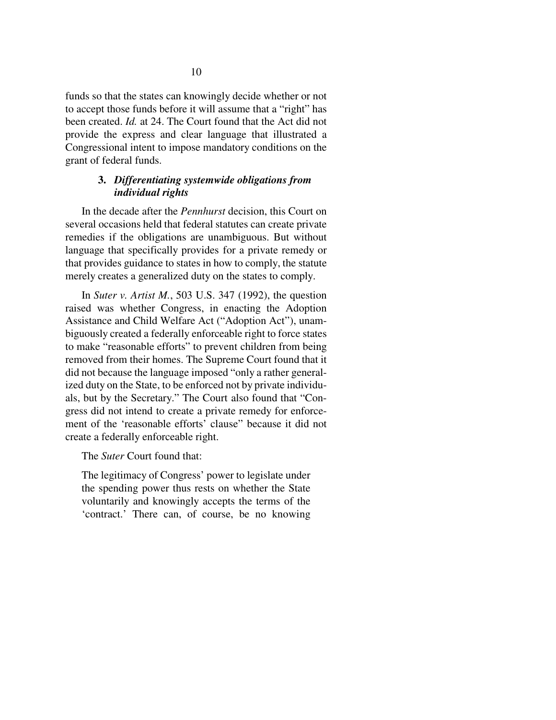funds so that the states can knowingly decide whether or not to accept those funds before it will assume that a "right" has been created. *Id.* at 24. The Court found that the Act did not provide the express and clear language that illustrated a Congressional intent to impose mandatory conditions on the grant of federal funds.

### **3.** *Differentiating systemwide obligations from individual rights*

In the decade after the *Pennhurst* decision, this Court on several occasions held that federal statutes can create private remedies if the obligations are unambiguous. But without language that specifically provides for a private remedy or that provides guidance to states in how to comply, the statute merely creates a generalized duty on the states to comply.

In *Suter v. Artist M.*, 503 U.S. 347 (1992), the question raised was whether Congress, in enacting the Adoption Assistance and Child Welfare Act ("Adoption Act"), unambiguously created a federally enforceable right to force states to make "reasonable efforts" to prevent children from being removed from their homes. The Supreme Court found that it did not because the language imposed "only a rather generalized duty on the State, to be enforced not by private individuals, but by the Secretary." The Court also found that "Congress did not intend to create a private remedy for enforcement of the 'reasonable efforts' clause" because it did not create a federally enforceable right.

The *Suter* Court found that:

The legitimacy of Congress' power to legislate under the spending power thus rests on whether the State voluntarily and knowingly accepts the terms of the 'contract.' There can, of course, be no knowing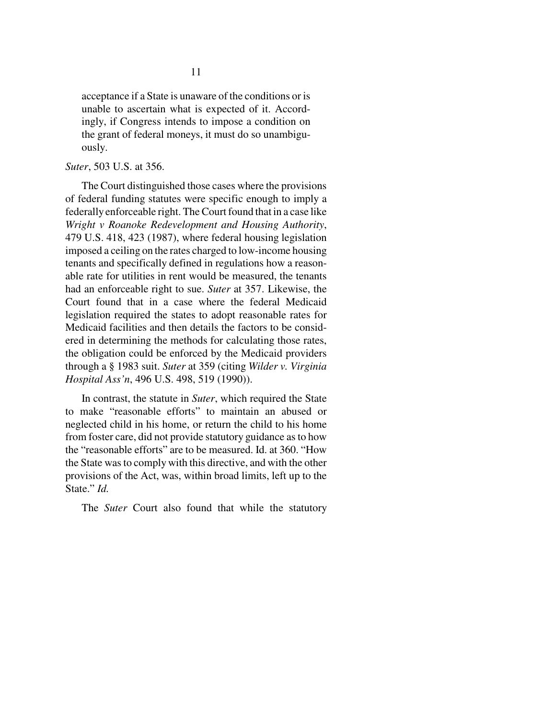acceptance if a State is unaware of the conditions or is unable to ascertain what is expected of it. Accordingly, if Congress intends to impose a condition on the grant of federal moneys, it must do so unambiguously.

#### *Suter*, 503 U.S. at 356.

The Court distinguished those cases where the provisions of federal funding statutes were specific enough to imply a federally enforceable right. The Court found that in a case like *Wright v Roanoke Redevelopment and Housing Authority*, 479 U.S. 418, 423 (1987), where federal housing legislation imposed a ceiling on the rates charged to low-income housing tenants and specifically defined in regulations how a reasonable rate for utilities in rent would be measured, the tenants had an enforceable right to sue. *Suter* at 357. Likewise, the Court found that in a case where the federal Medicaid legislation required the states to adopt reasonable rates for Medicaid facilities and then details the factors to be considered in determining the methods for calculating those rates, the obligation could be enforced by the Medicaid providers through a § 1983 suit. *Suter* at 359 (citing *Wilder v. Virginia Hospital Ass'n*, 496 U.S. 498, 519 (1990)).

In contrast, the statute in *Suter*, which required the State to make "reasonable efforts" to maintain an abused or neglected child in his home, or return the child to his home from foster care, did not provide statutory guidance as to how the "reasonable efforts" are to be measured. Id. at 360. "How the State was to comply with this directive, and with the other provisions of the Act, was, within broad limits, left up to the State." *Id.*

The *Suter* Court also found that while the statutory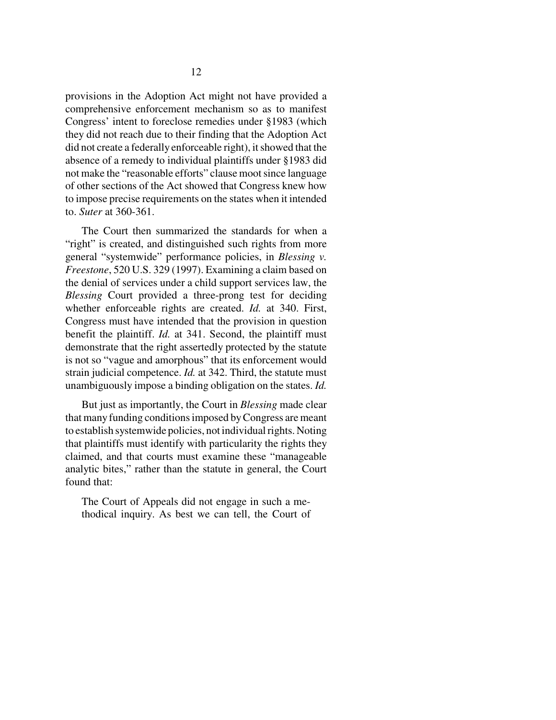provisions in the Adoption Act might not have provided a comprehensive enforcement mechanism so as to manifest Congress' intent to foreclose remedies under §1983 (which they did not reach due to their finding that the Adoption Act did not create a federally enforceable right), it showed that the absence of a remedy to individual plaintiffs under §1983 did not make the "reasonable efforts" clause moot since language of other sections of the Act showed that Congress knew how to impose precise requirements on the states when it intended to. *Suter* at 360-361.

The Court then summarized the standards for when a "right" is created, and distinguished such rights from more general "systemwide" performance policies, in *Blessing v. Freestone*, 520 U.S. 329 (1997). Examining a claim based on the denial of services under a child support services law, the *Blessing* Court provided a three-prong test for deciding whether enforceable rights are created. *Id.* at 340. First, Congress must have intended that the provision in question benefit the plaintiff. *Id.* at 341. Second, the plaintiff must demonstrate that the right assertedly protected by the statute is not so "vague and amorphous" that its enforcement would strain judicial competence. *Id.* at 342. Third, the statute must unambiguously impose a binding obligation on the states. *Id.*

But just as importantly, the Court in *Blessing* made clear that many funding conditions imposed by Congress are meant to establish systemwide policies, not individual rights. Noting that plaintiffs must identify with particularity the rights they claimed, and that courts must examine these "manageable analytic bites," rather than the statute in general, the Court found that:

The Court of Appeals did not engage in such a methodical inquiry. As best we can tell, the Court of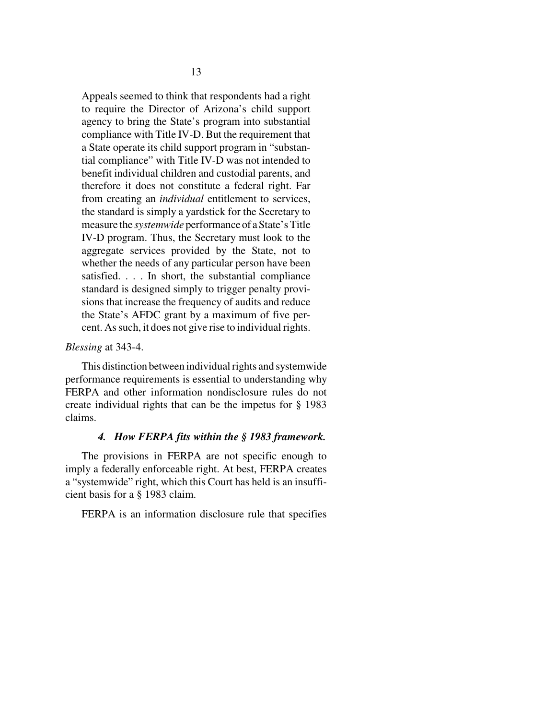Appeals seemed to think that respondents had a right to require the Director of Arizona's child support agency to bring the State's program into substantial compliance with Title IV-D. But the requirement that a State operate its child support program in "substantial compliance" with Title IV-D was not intended to benefit individual children and custodial parents, and therefore it does not constitute a federal right. Far from creating an *individual* entitlement to services, the standard is simply a yardstick for the Secretary to measure the *systemwide* performance of a State's Title IV-D program. Thus, the Secretary must look to the aggregate services provided by the State, not to whether the needs of any particular person have been satisfied. . . . In short, the substantial compliance standard is designed simply to trigger penalty provisions that increase the frequency of audits and reduce the State's AFDC grant by a maximum of five percent. As such, it does not give rise to individual rights.

#### *Blessing* at 343-4.

This distinction between individual rights and systemwide performance requirements is essential to understanding why FERPA and other information nondisclosure rules do not create individual rights that can be the impetus for § 1983 claims.

#### *4. How FERPA fits within the § 1983 framework.*

The provisions in FERPA are not specific enough to imply a federally enforceable right. At best, FERPA creates a "systemwide" right, which this Court has held is an insufficient basis for a § 1983 claim.

FERPA is an information disclosure rule that specifies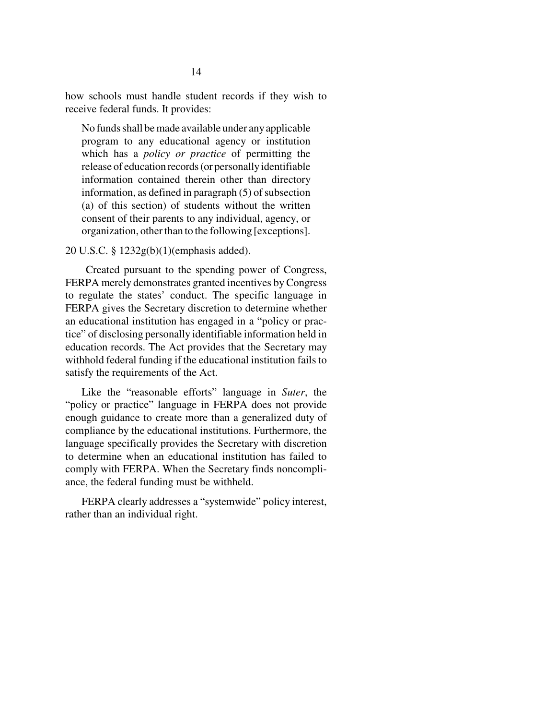how schools must handle student records if they wish to receive federal funds. It provides:

No funds shall be made available under any applicable program to any educational agency or institution which has a *policy or practice* of permitting the release of education records (or personally identifiable information contained therein other than directory information, as defined in paragraph (5) of subsection (a) of this section) of students without the written consent of their parents to any individual, agency, or organization, other than to the following [exceptions].

20 U.S.C. § 1232g(b)(1)(emphasis added).

 Created pursuant to the spending power of Congress, FERPA merely demonstrates granted incentives by Congress to regulate the states' conduct. The specific language in FERPA gives the Secretary discretion to determine whether an educational institution has engaged in a "policy or practice" of disclosing personally identifiable information held in education records. The Act provides that the Secretary may withhold federal funding if the educational institution fails to satisfy the requirements of the Act.

Like the "reasonable efforts" language in *Suter*, the "policy or practice" language in FERPA does not provide enough guidance to create more than a generalized duty of compliance by the educational institutions. Furthermore, the language specifically provides the Secretary with discretion to determine when an educational institution has failed to comply with FERPA. When the Secretary finds noncompliance, the federal funding must be withheld.

FERPA clearly addresses a "systemwide" policy interest, rather than an individual right.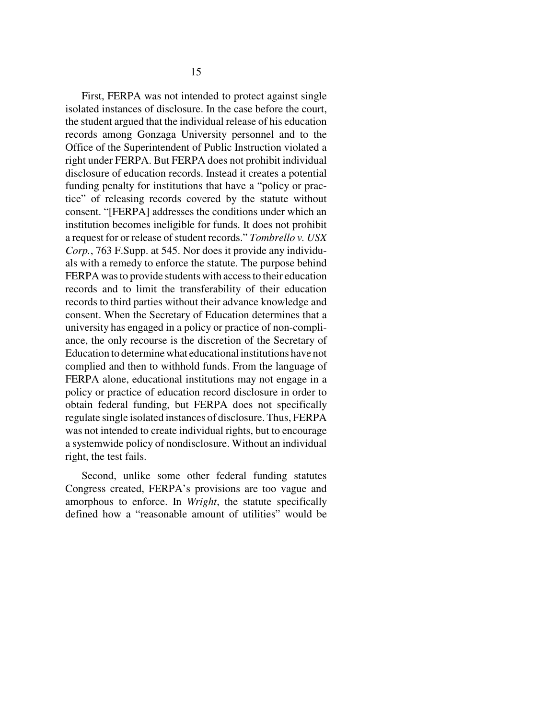First, FERPA was not intended to protect against single isolated instances of disclosure. In the case before the court, the student argued that the individual release of his education records among Gonzaga University personnel and to the Office of the Superintendent of Public Instruction violated a right under FERPA. But FERPA does not prohibit individual disclosure of education records. Instead it creates a potential funding penalty for institutions that have a "policy or practice" of releasing records covered by the statute without consent. "[FERPA] addresses the conditions under which an institution becomes ineligible for funds. It does not prohibit a request for or release of student records." *Tombrello v. USX Corp.*, 763 F.Supp. at 545. Nor does it provide any individuals with a remedy to enforce the statute. The purpose behind FERPA was to provide students with access to their education records and to limit the transferability of their education records to third parties without their advance knowledge and consent. When the Secretary of Education determines that a university has engaged in a policy or practice of non-compliance, the only recourse is the discretion of the Secretary of Education to determine what educational institutions have not complied and then to withhold funds. From the language of FERPA alone, educational institutions may not engage in a policy or practice of education record disclosure in order to obtain federal funding, but FERPA does not specifically regulate single isolated instances of disclosure. Thus, FERPA was not intended to create individual rights, but to encourage a systemwide policy of nondisclosure. Without an individual right, the test fails.

Second, unlike some other federal funding statutes Congress created, FERPA's provisions are too vague and amorphous to enforce. In *Wright*, the statute specifically defined how a "reasonable amount of utilities" would be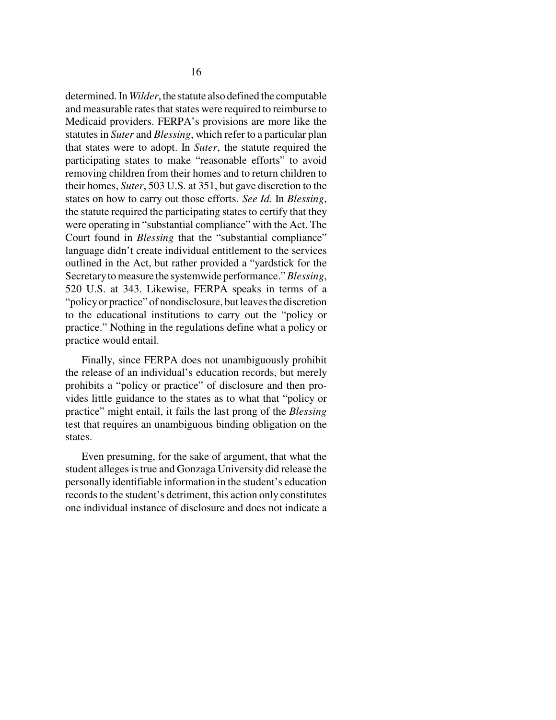determined. In *Wilder*, the statute also defined the computable and measurable rates that states were required to reimburse to Medicaid providers. FERPA's provisions are more like the statutes in *Suter* and *Blessing*, which refer to a particular plan that states were to adopt. In *Suter*, the statute required the participating states to make "reasonable efforts" to avoid removing children from their homes and to return children to their homes, *Suter*, 503 U.S. at 351, but gave discretion to the states on how to carry out those efforts. *See Id.* In *Blessing*, the statute required the participating states to certify that they were operating in "substantial compliance" with the Act. The Court found in *Blessing* that the "substantial compliance" language didn't create individual entitlement to the services outlined in the Act, but rather provided a "yardstick for the Secretary to measure the systemwide performance." *Blessing*, 520 U.S. at 343. Likewise, FERPA speaks in terms of a "policy or practice" of nondisclosure, but leaves the discretion to the educational institutions to carry out the "policy or practice." Nothing in the regulations define what a policy or practice would entail.

Finally, since FERPA does not unambiguously prohibit the release of an individual's education records, but merely prohibits a "policy or practice" of disclosure and then provides little guidance to the states as to what that "policy or practice" might entail, it fails the last prong of the *Blessing* test that requires an unambiguous binding obligation on the states.

Even presuming, for the sake of argument, that what the student alleges is true and Gonzaga University did release the personally identifiable information in the student's education records to the student's detriment, this action only constitutes one individual instance of disclosure and does not indicate a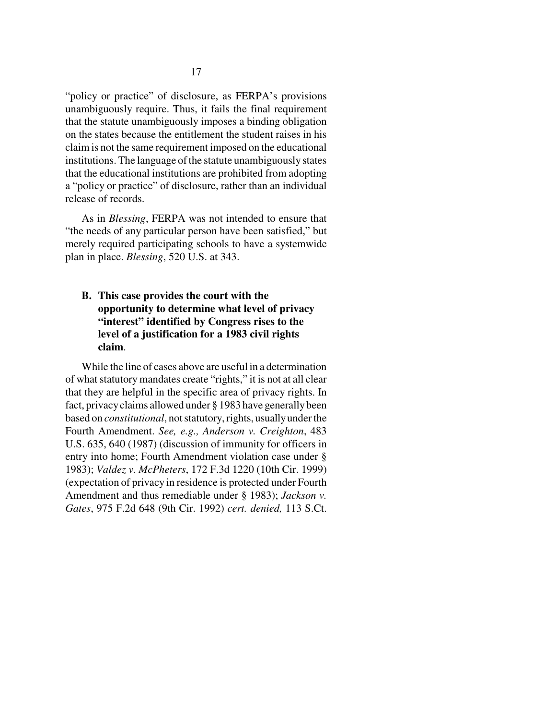"policy or practice" of disclosure, as FERPA's provisions unambiguously require. Thus, it fails the final requirement that the statute unambiguously imposes a binding obligation on the states because the entitlement the student raises in his claim is not the same requirement imposed on the educational institutions. The language of the statute unambiguously states that the educational institutions are prohibited from adopting a "policy or practice" of disclosure, rather than an individual release of records.

As in *Blessing*, FERPA was not intended to ensure that "the needs of any particular person have been satisfied," but merely required participating schools to have a systemwide plan in place. *Blessing*, 520 U.S. at 343.

**B. This case provides the court with the opportunity to determine what level of privacy "interest" identified by Congress rises to the level of a justification for a 1983 civil rights claim**.

While the line of cases above are useful in a determination of what statutory mandates create "rights," it is not at all clear that they are helpful in the specific area of privacy rights. In fact, privacy claims allowed under § 1983 have generally been based on *constitutional*, not statutory, rights, usually under the Fourth Amendment. *See, e.g., Anderson v. Creighton*, 483 U.S. 635, 640 (1987) (discussion of immunity for officers in entry into home; Fourth Amendment violation case under § 1983); *Valdez v. McPheters*, 172 F.3d 1220 (10th Cir. 1999) (expectation of privacy in residence is protected under Fourth Amendment and thus remediable under § 1983); *Jackson v. Gates*, 975 F.2d 648 (9th Cir. 1992) *cert. denied,* 113 S.Ct.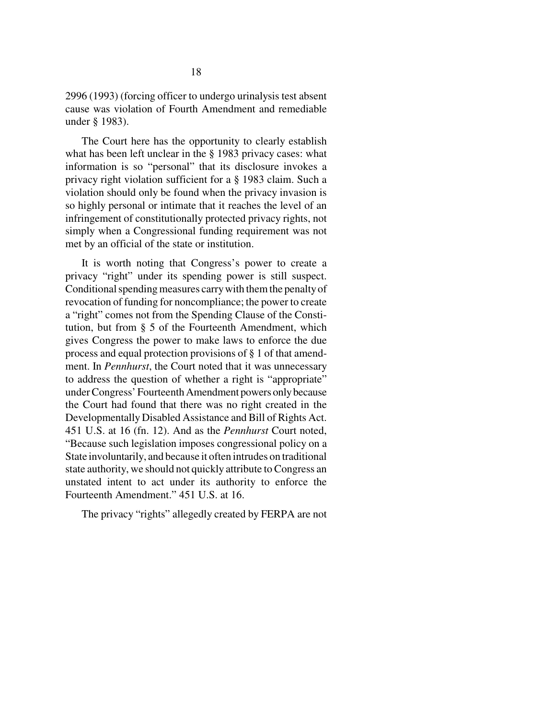2996 (1993) (forcing officer to undergo urinalysis test absent cause was violation of Fourth Amendment and remediable under § 1983).

The Court here has the opportunity to clearly establish what has been left unclear in the § 1983 privacy cases: what information is so "personal" that its disclosure invokes a privacy right violation sufficient for a § 1983 claim. Such a violation should only be found when the privacy invasion is so highly personal or intimate that it reaches the level of an infringement of constitutionally protected privacy rights, not simply when a Congressional funding requirement was not met by an official of the state or institution.

It is worth noting that Congress's power to create a privacy "right" under its spending power is still suspect. Conditional spending measures carry with them the penalty of revocation of funding for noncompliance; the power to create a "right" comes not from the Spending Clause of the Constitution, but from § 5 of the Fourteenth Amendment, which gives Congress the power to make laws to enforce the due process and equal protection provisions of § 1 of that amendment. In *Pennhurst*, the Court noted that it was unnecessary to address the question of whether a right is "appropriate" under Congress' Fourteenth Amendment powers only because the Court had found that there was no right created in the Developmentally Disabled Assistance and Bill of Rights Act. 451 U.S. at 16 (fn. 12). And as the *Pennhurst* Court noted, "Because such legislation imposes congressional policy on a State involuntarily, and because it often intrudes on traditional state authority, we should not quickly attribute to Congress an unstated intent to act under its authority to enforce the Fourteenth Amendment." 451 U.S. at 16.

The privacy "rights" allegedly created by FERPA are not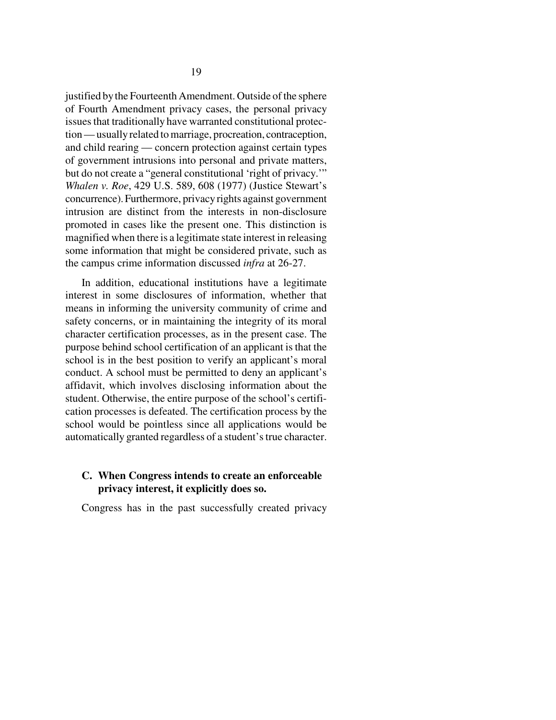justified by the Fourteenth Amendment. Outside of the sphere of Fourth Amendment privacy cases, the personal privacy issues that traditionally have warranted constitutional protection — usually related to marriage, procreation, contraception, and child rearing — concern protection against certain types of government intrusions into personal and private matters, but do not create a "general constitutional 'right of privacy.'" *Whalen v. Roe*, 429 U.S. 589, 608 (1977) (Justice Stewart's concurrence). Furthermore, privacy rights against government intrusion are distinct from the interests in non-disclosure promoted in cases like the present one. This distinction is magnified when there is a legitimate state interest in releasing some information that might be considered private, such as the campus crime information discussed *infra* at 26-27.

In addition, educational institutions have a legitimate interest in some disclosures of information, whether that means in informing the university community of crime and safety concerns, or in maintaining the integrity of its moral character certification processes, as in the present case. The purpose behind school certification of an applicant is that the school is in the best position to verify an applicant's moral conduct. A school must be permitted to deny an applicant's affidavit, which involves disclosing information about the student. Otherwise, the entire purpose of the school's certification processes is defeated. The certification process by the school would be pointless since all applications would be automatically granted regardless of a student's true character.

## **C. When Congress intends to create an enforceable privacy interest, it explicitly does so.**

Congress has in the past successfully created privacy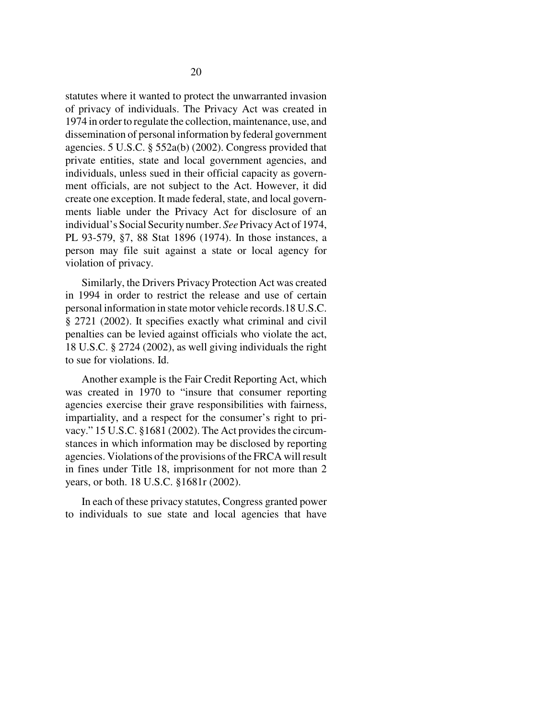statutes where it wanted to protect the unwarranted invasion of privacy of individuals. The Privacy Act was created in 1974 in order to regulate the collection, maintenance, use, and dissemination of personal information by federal government agencies. 5 U.S.C. § 552a(b) (2002). Congress provided that private entities, state and local government agencies, and individuals, unless sued in their official capacity as government officials, are not subject to the Act. However, it did create one exception. It made federal, state, and local governments liable under the Privacy Act for disclosure of an individual's Social Security number. *See* Privacy Act of 1974, PL 93-579, §7, 88 Stat 1896 (1974). In those instances, a person may file suit against a state or local agency for violation of privacy.

Similarly, the Drivers Privacy Protection Act was created in 1994 in order to restrict the release and use of certain personal information in state motor vehicle records.18 U.S.C. § 2721 (2002). It specifies exactly what criminal and civil penalties can be levied against officials who violate the act, 18 U.S.C. § 2724 (2002), as well giving individuals the right to sue for violations. Id.

Another example is the Fair Credit Reporting Act, which was created in 1970 to "insure that consumer reporting agencies exercise their grave responsibilities with fairness, impartiality, and a respect for the consumer's right to privacy." 15 U.S.C. §1681 (2002). The Act provides the circumstances in which information may be disclosed by reporting agencies. Violations of the provisions of the FRCA will result in fines under Title 18, imprisonment for not more than 2 years, or both. 18 U.S.C. §1681r (2002).

In each of these privacy statutes, Congress granted power to individuals to sue state and local agencies that have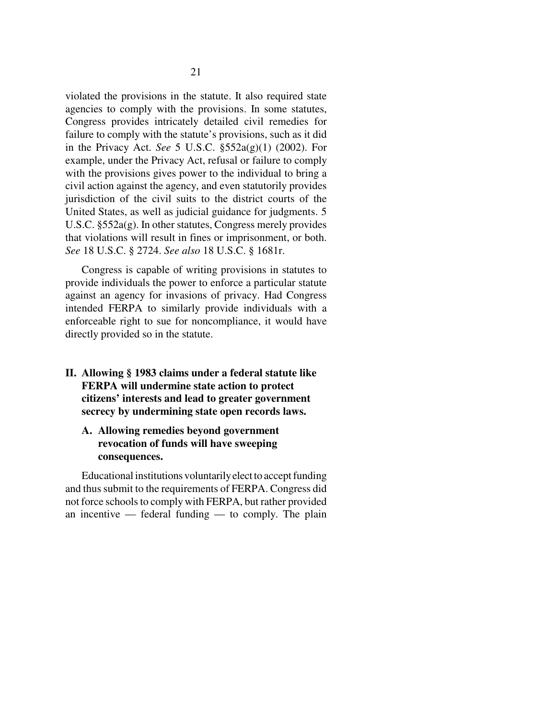violated the provisions in the statute. It also required state agencies to comply with the provisions. In some statutes, Congress provides intricately detailed civil remedies for failure to comply with the statute's provisions, such as it did in the Privacy Act. *See* 5 U.S.C. §552a(g)(1) (2002). For example, under the Privacy Act, refusal or failure to comply with the provisions gives power to the individual to bring a civil action against the agency, and even statutorily provides jurisdiction of the civil suits to the district courts of the United States, as well as judicial guidance for judgments. 5 U.S.C. §552a(g). In other statutes, Congress merely provides that violations will result in fines or imprisonment, or both. *See* 18 U.S.C. § 2724. *See also* 18 U.S.C. § 1681r.

Congress is capable of writing provisions in statutes to provide individuals the power to enforce a particular statute against an agency for invasions of privacy. Had Congress intended FERPA to similarly provide individuals with a enforceable right to sue for noncompliance, it would have directly provided so in the statute.

**II. Allowing § 1983 claims under a federal statute like FERPA will undermine state action to protect citizens' interests and lead to greater government secrecy by undermining state open records laws.** 

## **A. Allowing remedies beyond government revocation of funds will have sweeping consequences.**

Educational institutions voluntarily elect to accept funding and thus submit to the requirements of FERPA. Congress did not force schools to comply with FERPA, but rather provided an incentive — federal funding — to comply. The plain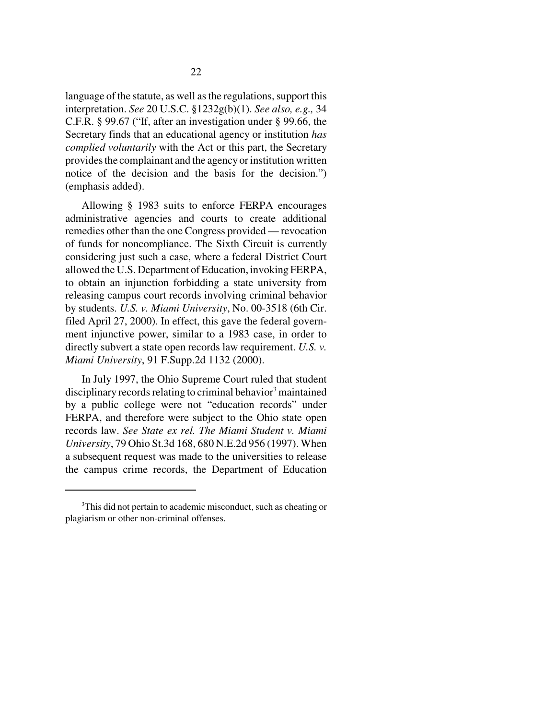language of the statute, as well as the regulations, support this interpretation. *See* 20 U.S.C. §1232g(b)(1). *See also, e.g.,* 34 C.F.R. § 99.67 ("If, after an investigation under § 99.66, the Secretary finds that an educational agency or institution *has complied voluntarily* with the Act or this part, the Secretary provides the complainant and the agency or institution written notice of the decision and the basis for the decision.") (emphasis added).

Allowing § 1983 suits to enforce FERPA encourages administrative agencies and courts to create additional remedies other than the one Congress provided — revocation of funds for noncompliance. The Sixth Circuit is currently considering just such a case, where a federal District Court allowed the U.S. Department of Education, invoking FERPA, to obtain an injunction forbidding a state university from releasing campus court records involving criminal behavior by students. *U.S. v. Miami University*, No. 00-3518 (6th Cir. filed April 27, 2000). In effect, this gave the federal government injunctive power, similar to a 1983 case, in order to directly subvert a state open records law requirement. *U.S. v. Miami University*, 91 F.Supp.2d 1132 (2000).

In July 1997, the Ohio Supreme Court ruled that student disciplinary records relating to criminal behavior<sup>3</sup> maintained by a public college were not "education records" under FERPA, and therefore were subject to the Ohio state open records law. *See State ex rel. The Miami Student v. Miami University*, 79 Ohio St.3d 168, 680 N.E.2d 956 (1997). When a subsequent request was made to the universities to release the campus crime records, the Department of Education

<sup>&</sup>lt;sup>3</sup>This did not pertain to academic misconduct, such as cheating or plagiarism or other non-criminal offenses.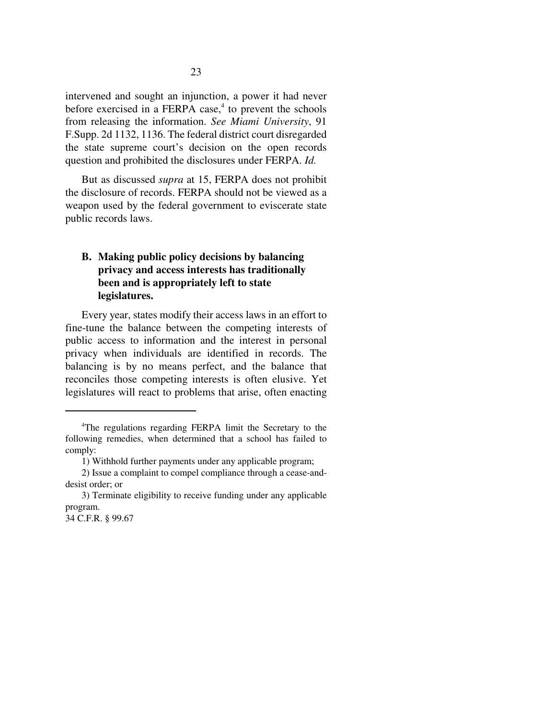intervened and sought an injunction, a power it had never before exercised in a FERPA case,<sup>4</sup> to prevent the schools from releasing the information. *See Miami University*, 91 F.Supp. 2d 1132, 1136. The federal district court disregarded the state supreme court's decision on the open records question and prohibited the disclosures under FERPA. *Id.* 

But as discussed *supra* at 15, FERPA does not prohibit the disclosure of records. FERPA should not be viewed as a weapon used by the federal government to eviscerate state public records laws.

# **B. Making public policy decisions by balancing privacy and access interests has traditionally been and is appropriately left to state legislatures.**

Every year, states modify their access laws in an effort to fine-tune the balance between the competing interests of public access to information and the interest in personal privacy when individuals are identified in records. The balancing is by no means perfect, and the balance that reconciles those competing interests is often elusive. Yet legislatures will react to problems that arise, often enacting

34 C.F.R. § 99.67

<sup>4</sup> The regulations regarding FERPA limit the Secretary to the following remedies, when determined that a school has failed to comply:

<sup>1)</sup> Withhold further payments under any applicable program;

<sup>2)</sup> Issue a complaint to compel compliance through a cease-anddesist order; or

<sup>3)</sup> Terminate eligibility to receive funding under any applicable program.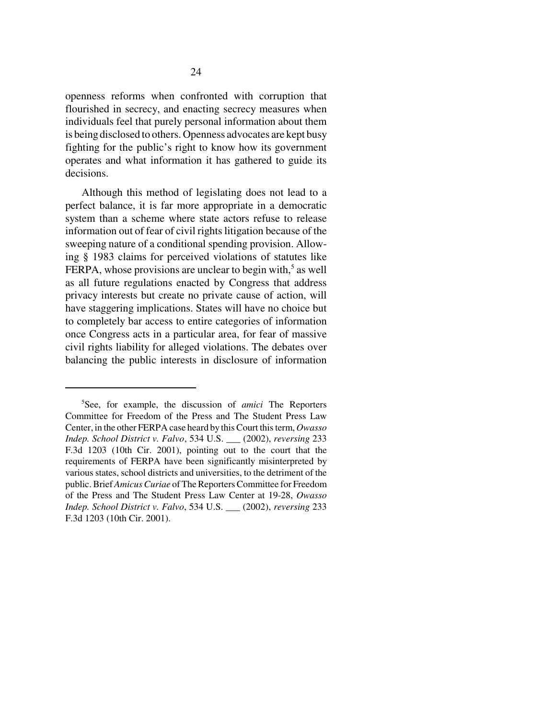openness reforms when confronted with corruption that flourished in secrecy, and enacting secrecy measures when individuals feel that purely personal information about them is being disclosed to others. Openness advocates are kept busy fighting for the public's right to know how its government operates and what information it has gathered to guide its decisions.

Although this method of legislating does not lead to a perfect balance, it is far more appropriate in a democratic system than a scheme where state actors refuse to release information out of fear of civil rights litigation because of the sweeping nature of a conditional spending provision. Allowing § 1983 claims for perceived violations of statutes like FERPA, whose provisions are unclear to begin with, $5$  as well as all future regulations enacted by Congress that address privacy interests but create no private cause of action, will have staggering implications. States will have no choice but to completely bar access to entire categories of information once Congress acts in a particular area, for fear of massive civil rights liability for alleged violations. The debates over balancing the public interests in disclosure of information

<sup>5</sup> See, for example, the discussion of *amici* The Reporters Committee for Freedom of the Press and The Student Press Law Center, in the other FERPA case heard by this Court this term, *Owasso Indep. School District v. Falvo*, 534 U.S. \_\_\_ (2002), *reversing* 233 F.3d 1203 (10th Cir. 2001), pointing out to the court that the requirements of FERPA have been significantly misinterpreted by various states, school districts and universities, to the detriment of the public. Brief *Amicus Curiae* of The Reporters Committee for Freedom of the Press and The Student Press Law Center at 19-28, *Owasso Indep. School District v. Falvo*, 534 U.S. \_\_\_ (2002), *reversing* 233 F.3d 1203 (10th Cir. 2001).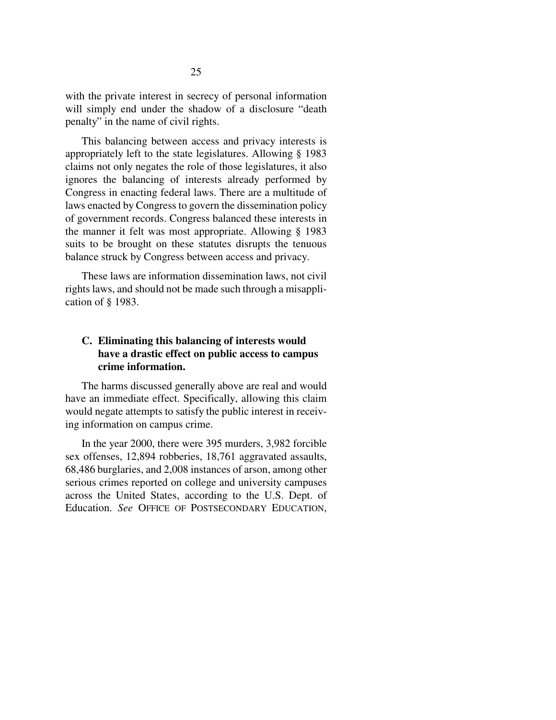with the private interest in secrecy of personal information will simply end under the shadow of a disclosure "death penalty" in the name of civil rights.

This balancing between access and privacy interests is appropriately left to the state legislatures. Allowing § 1983 claims not only negates the role of those legislatures, it also ignores the balancing of interests already performed by Congress in enacting federal laws. There are a multitude of laws enacted by Congress to govern the dissemination policy of government records. Congress balanced these interests in the manner it felt was most appropriate. Allowing § 1983 suits to be brought on these statutes disrupts the tenuous balance struck by Congress between access and privacy.

These laws are information dissemination laws, not civil rights laws, and should not be made such through a misapplication of § 1983.

# **C. Eliminating this balancing of interests would have a drastic effect on public access to campus crime information.**

The harms discussed generally above are real and would have an immediate effect. Specifically, allowing this claim would negate attempts to satisfy the public interest in receiving information on campus crime.

In the year 2000, there were 395 murders, 3,982 forcible sex offenses, 12,894 robberies, 18,761 aggravated assaults, 68,486 burglaries, and 2,008 instances of arson, among other serious crimes reported on college and university campuses across the United States, according to the U.S. Dept. of Education. *See* OFFICE OF POSTSECONDARY EDUCATION,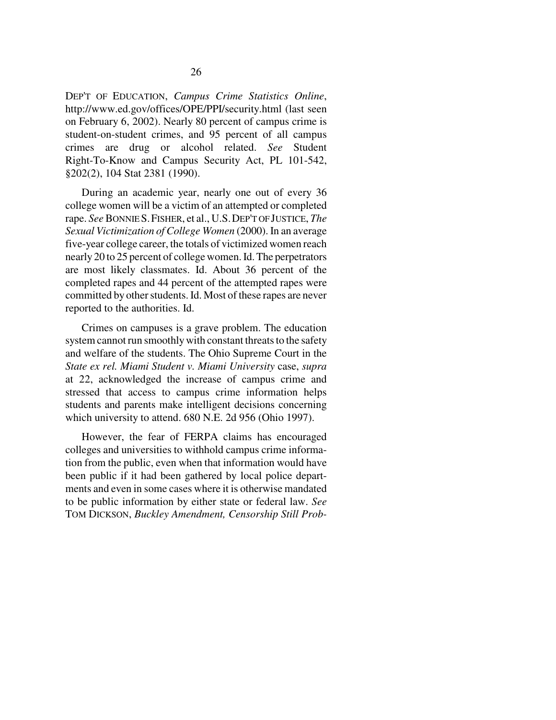DEP'T OF EDUCATION, *Campus Crime Statistics Online*, http://www.ed.gov/offices/OPE/PPI/security.html (last seen on February 6, 2002). Nearly 80 percent of campus crime is student-on-student crimes, and 95 percent of all campus crimes are drug or alcohol related. *See* Student Right-To-Know and Campus Security Act, PL 101-542, §202(2), 104 Stat 2381 (1990).

During an academic year, nearly one out of every 36 college women will be a victim of an attempted or completed rape. *See* BONNIE S.FISHER, et al., U.S.DEP'T OF JUSTICE, *The Sexual Victimization of College Women* (2000). In an average five-year college career, the totals of victimized women reach nearly 20 to 25 percent of college women. Id. The perpetrators are most likely classmates. Id. About 36 percent of the completed rapes and 44 percent of the attempted rapes were committed by other students. Id. Most of these rapes are never reported to the authorities. Id.

Crimes on campuses is a grave problem. The education system cannot run smoothly with constant threats to the safety and welfare of the students. The Ohio Supreme Court in the *State ex rel. Miami Student v. Miami University* case, *supra* at 22, acknowledged the increase of campus crime and stressed that access to campus crime information helps students and parents make intelligent decisions concerning which university to attend. 680 N.E. 2d 956 (Ohio 1997).

However, the fear of FERPA claims has encouraged colleges and universities to withhold campus crime information from the public, even when that information would have been public if it had been gathered by local police departments and even in some cases where it is otherwise mandated to be public information by either state or federal law. *See* TOM DICKSON, *Buckley Amendment, Censorship Still Prob-*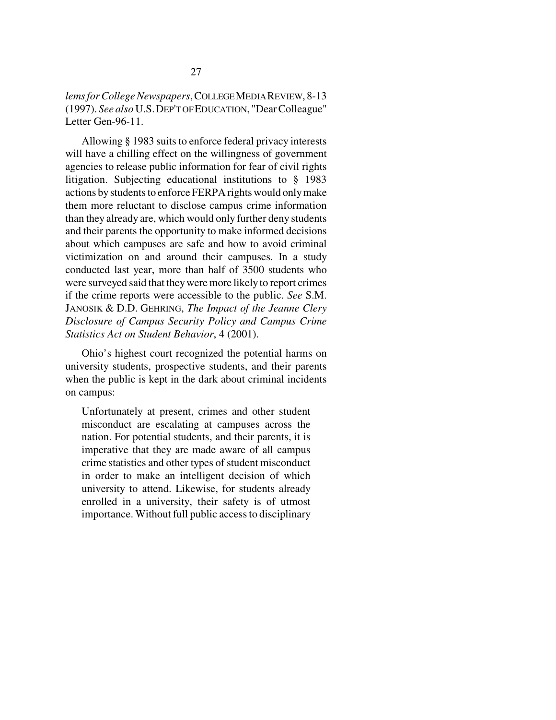Allowing § 1983 suits to enforce federal privacy interests will have a chilling effect on the willingness of government agencies to release public information for fear of civil rights litigation. Subjecting educational institutions to § 1983 actions by students to enforce FERPA rights would only make them more reluctant to disclose campus crime information than they already are, which would only further deny students and their parents the opportunity to make informed decisions about which campuses are safe and how to avoid criminal victimization on and around their campuses. In a study conducted last year, more than half of 3500 students who were surveyed said that they were more likely to report crimes if the crime reports were accessible to the public. *See* S.M. JANOSIK & D.D. GEHRING, *The Impact of the Jeanne Clery Disclosure of Campus Security Policy and Campus Crime Statistics Act on Student Behavior*, 4 (2001).

Ohio's highest court recognized the potential harms on university students, prospective students, and their parents when the public is kept in the dark about criminal incidents on campus:

Unfortunately at present, crimes and other student misconduct are escalating at campuses across the nation. For potential students, and their parents, it is imperative that they are made aware of all campus crime statistics and other types of student misconduct in order to make an intelligent decision of which university to attend. Likewise, for students already enrolled in a university, their safety is of utmost importance. Without full public access to disciplinary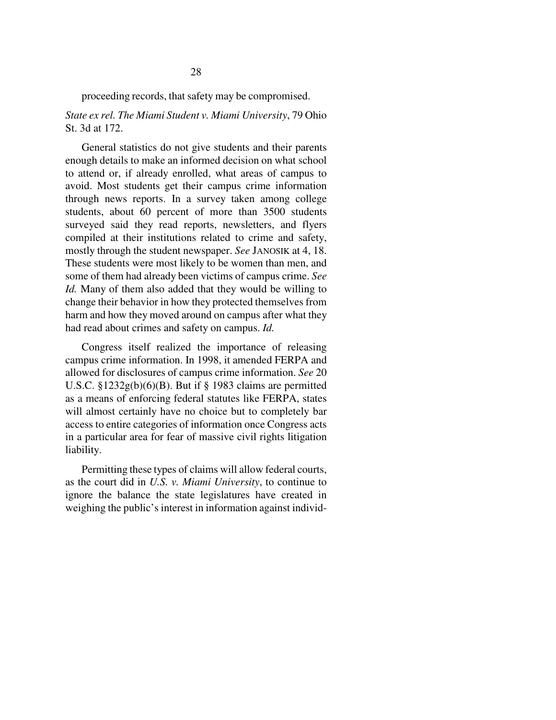## *State ex rel. The Miami Student v. Miami University*, 79 Ohio St. 3d at 172.

General statistics do not give students and their parents enough details to make an informed decision on what school to attend or, if already enrolled, what areas of campus to avoid. Most students get their campus crime information through news reports. In a survey taken among college students, about 60 percent of more than 3500 students surveyed said they read reports, newsletters, and flyers compiled at their institutions related to crime and safety, mostly through the student newspaper. *See* JANOSIK at 4, 18. These students were most likely to be women than men, and some of them had already been victims of campus crime. *See Id.* Many of them also added that they would be willing to change their behavior in how they protected themselves from harm and how they moved around on campus after what they had read about crimes and safety on campus. *Id.*

Congress itself realized the importance of releasing campus crime information. In 1998, it amended FERPA and allowed for disclosures of campus crime information. *See* 20 U.S.C. §1232g(b)(6)(B). But if § 1983 claims are permitted as a means of enforcing federal statutes like FERPA, states will almost certainly have no choice but to completely bar access to entire categories of information once Congress acts in a particular area for fear of massive civil rights litigation liability.

Permitting these types of claims will allow federal courts, as the court did in *U.S. v. Miami University*, to continue to ignore the balance the state legislatures have created in weighing the public's interest in information against individ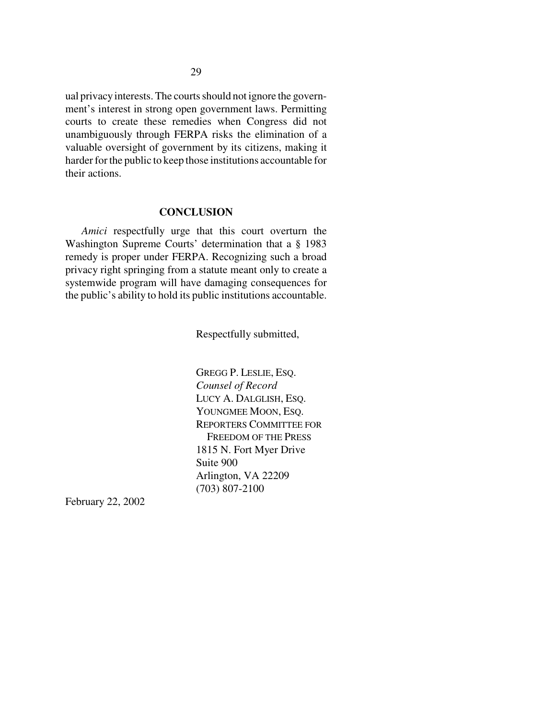ual privacy interests. The courts should not ignore the government's interest in strong open government laws. Permitting courts to create these remedies when Congress did not unambiguously through FERPA risks the elimination of a valuable oversight of government by its citizens, making it harder for the public to keep those institutions accountable for their actions.

#### **CONCLUSION**

*Amici* respectfully urge that this court overturn the Washington Supreme Courts' determination that a § 1983 remedy is proper under FERPA. Recognizing such a broad privacy right springing from a statute meant only to create a systemwide program will have damaging consequences for the public's ability to hold its public institutions accountable.

Respectfully submitted,

GREGG P. LESLIE, ESQ. *Counsel of Record* LUCY A. DALGLISH, ESQ. YOUNGMEE MOON, ESQ. REPORTERS COMMITTEE FOR FREEDOM OF THE PRESS 1815 N. Fort Myer Drive Suite 900 Arlington, VA 22209 (703) 807-2100

February 22, 2002